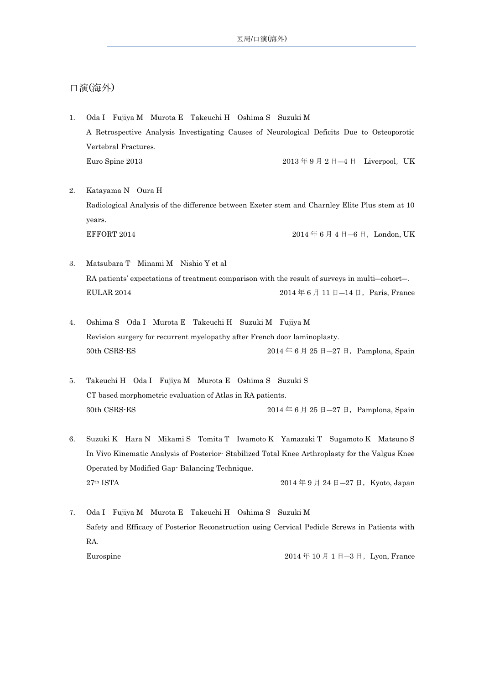## 口演(海外)

- 1. Oda I Fujiya M Murota E Takeuchi H Oshima S Suzuki M A Retrospective Analysis Investigating Causes of Neurological Deficits Due to Osteoporotic Vertebral Fractures. Euro Spine 2013  $2013 \oplus 2013 \oplus 9 \oplus 2 \oplus -4 \oplus 2013$  Liverpool, UK
- 2. Katayama N Oura H Radiological Analysis of the difference between Exeter stem and Charnley Elite Plus stem at 10 years. EFFORT 2014  $2014 \ncong 6 \ncong 4 \ncong -6 \ncong$  London, UK
- 3. Matsubara T Minami M Nishio Y et al RA patients' expectations of treatment comparison with the result of surveys in multi–cohort—. EULAR 2014  $2014 \ncong 6 \ncong 11 \ncong -14 \ncong$ , Paris, France
- 4. Oshima S Oda I Murota E Takeuchi H Suzuki M Fujiya M Revision surgery for recurrent myelopathy after French door laminoplasty. 30th CSRS-ES 2014  $\neq$  6  $\neq$  25  $\neq$  -27  $\neq$  9, Pamplona, Spain
- 5. Takeuchi H Oda I Fujiya M Murota E Oshima S Suzuki S CT based morphometric evaluation of Atlas in RA patients. 30th CSRS-ES 2014  $\neq$  6  $\neq$  25  $\neq$  -27  $\neq$  9, Pamplona, Spain
- 6. Suzuki K Hara N Mikami S Tomita T Iwamoto K Yamazaki T Sugamoto K Matsuno S In Vivo Kinematic Analysis of Posterior- Stabilized Total Knee Arthroplasty for the Valgus Knee Operated by Modified Gap- Balancing Technique.  $27<sup>th</sup> ISTA$  2014年9月24日—27日, Kyoto, Japan
- 7. Oda I Fujiya M Murota E Takeuchi H Oshima S Suzuki M Safety and Efficacy of Posterior Reconstruction using Cervical Pedicle Screws in Patients with RA. Eurospine 2014  $\# 10 \nmid A \equiv -3 \nmid A$ , Lyon, France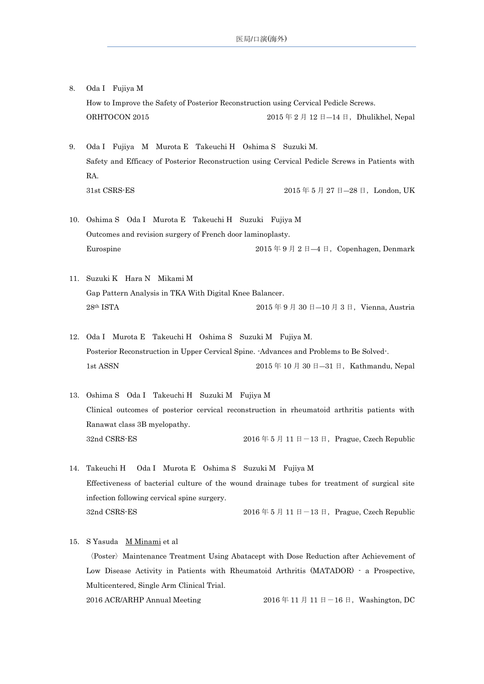- 8. Oda I Fujiya M How to Improve the Safety of Posterior Reconstruction using Cervical Pedicle Screws. ORHTOCON 2015 2015 2015  $\qquad 2015 \ncong 2 \nparallel 12 \nparallel -14 \nparallel 5$ , Dhulikhel, Nepal
- 9. Oda I Fujiya M Murota E Takeuchi H Oshima S Suzuki M. Safety and Efficacy of Posterior Reconstruction using Cervical Pedicle Screws in Patients with RA. 31st CSRS-ES 2015  $\# 5 \nexists$  27  $\# -28 \nexists$ , London, UK
- 10. Oshima S Oda I Murota E Takeuchi H Suzuki Fujiya M Outcomes and revision surgery of French door laminoplasty. Eurospine 2015年9月2日—4日, Copenhagen, Denmark
- 11. Suzuki K Hara N Mikami M Gap Pattern Analysis in TKA With Digital Knee Balancer.  $28<sup>th</sup> ISTA$  2015 年 9 月 30 日 --10 月 3 日, Vienna, Austria
- 12. Oda I Murota E Takeuchi H Oshima S Suzuki M Fujiya M. Posterior Reconstruction in Upper Cervical Spine. -Advances and Problems to Be Solved-. 1st ASSN 2015年 10 月 30 日—31 日, Kathmandu, Nepal
- 13. Oshima S Oda I Takeuchi H Suzuki M Fujiya M Clinical outcomes of posterior cervical reconstruction in rheumatoid arthritis patients with Ranawat class 3B myelopathy. 32nd CSRS-ES 2016  $\overline{4}$  5  $\overline{7}$  11  $\overline{6}$  -13  $\overline{6}$ , Prague, Czech Republic
- 14. Takeuchi H Oda I Murota E Oshima S Suzuki M Fujiya M Effectiveness of bacterial culture of the wound drainage tubes for treatment of surgical site infection following cervical spine surgery. 32nd CSRS-ES 2016  $\overline{4}$  5  $\overline{7}$  11  $\overline{6}$  -13  $\overline{6}$ , Prague, Czech Republic
- 15. S Yasuda M Minami et al

〈Poster〉Maintenance Treatment Using Abatacept with Dose Reduction after Achievement of Low Disease Activity in Patients with Rheumatoid Arthritis (MATADOR) - a Prospective, Multicentered, Single Arm Clinical Trial.

2016 ACR/ARHP Annual Meeting 2016  $\#$  11  $\#$  11  $\#$  -16  $\#$ , Washington, DC